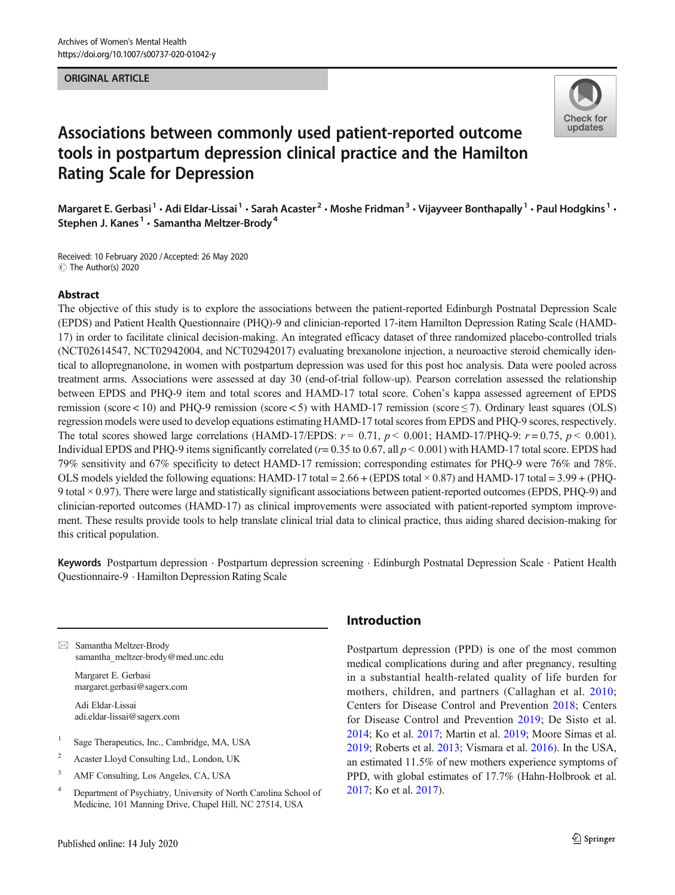## ORIGINAL ARTICLE



# Associations between commonly used patient-reported outcome tools in postpartum depression clinical practice and the Hamilton Rating Scale for Depression

Margaret E. Gerbasi<sup>1</sup> • Adi Eldar-Lissai<sup>1</sup> • Sarah Acaster<sup>2</sup> • Moshe Fridman<sup>3</sup> • Vijayveer Bonthapally<sup>1</sup> • Paul Hodgkins<sup>1</sup> • Stephen J. Kanes<sup>1</sup>  $\cdot$  Samantha Meltzer-Brody<sup>4</sup>

Received: 10 February 2020 /Accepted: 26 May 2020  $\circledcirc$  The Author(s) 2020

### Abstract

The objective of this study is to explore the associations between the patient-reported Edinburgh Postnatal Depression Scale (EPDS) and Patient Health Questionnaire (PHQ)-9 and clinician-reported 17-item Hamilton Depression Rating Scale (HAMD-17) in order to facilitate clinical decision-making. An integrated efficacy dataset of three randomized placebo-controlled trials (NCT02614547, NCT02942004, and NCT02942017) evaluating brexanolone injection, a neuroactive steroid chemically identical to allopregnanolone, in women with postpartum depression was used for this post hoc analysis. Data were pooled across treatment arms. Associations were assessed at day 30 (end-of-trial follow-up). Pearson correlation assessed the relationship between EPDS and PHQ-9 item and total scores and HAMD-17 total score. Cohen's kappa assessed agreement of EPDS remission (score < 10) and PHQ-9 remission (score < 5) with HAMD-17 remission (score  $\leq$  7). Ordinary least squares (OLS) regression models were used to develop equations estimating HAMD-17 total scores from EPDS and PHQ-9 scores, respectively. The total scores showed large correlations (HAMD-17/EPDS:  $r = 0.71$ ,  $p < 0.001$ ; HAMD-17/PHQ-9:  $r = 0.75$ ,  $p < 0.001$ ). Individual EPDS and PHQ-9 items significantly correlated ( $r = 0.35$  to 0.67, all  $p < 0.001$ ) with HAMD-17 total score. EPDS had 79% sensitivity and 67% specificity to detect HAMD-17 remission; corresponding estimates for PHQ-9 were 76% and 78%. OLS models yielded the following equations: HAMD-17 total =  $2.66 + (EPDS total \times 0.87)$  and HAMD-17 total =  $3.99 + (PHQ-S)$ 9 total × 0.97). There were large and statistically significant associations between patient-reported outcomes (EPDS, PHQ-9) and clinician-reported outcomes (HAMD-17) as clinical improvements were associated with patient-reported symptom improvement. These results provide tools to help translate clinical trial data to clinical practice, thus aiding shared decision-making for this critical population.

Keywords Postpartum depression . Postpartum depression screening . Edinburgh Postnatal Depression Scale . Patient Health Questionnaire-9 . Hamilton Depression Rating Scale

 $\boxtimes$  Samantha Meltzer-Brody [samantha\\_meltzer-brody@med.unc.edu](mailto:samantha_meltzer-brody@med.unc.edu)

Margaret E. Gerbasi margaret.gerbasi@sagerx.com

Adi Eldar-Lissai adi.eldar-lissai@sagerx.com

- <sup>1</sup> Sage Therapeutics, Inc., Cambridge, MA, USA
- <sup>2</sup> Acaster Lloyd Consulting Ltd., London, UK
- <sup>3</sup> AMF Consulting, Los Angeles, CA, USA
- <sup>4</sup> Department of Psychiatry, University of North Carolina School of Medicine, 101 Manning Drive, Chapel Hill, NC 27514, USA

# Introduction

Postpartum depression (PPD) is one of the most common medical complications during and after pregnancy, resulting in a substantial health-related quality of life burden for mothers, children, and partners (Callaghan et al. [2010;](#page-7-0) Centers for Disease Control and Prevention [2018;](#page-7-0) Centers for Disease Control and Prevention [2019](#page-7-0); De Sisto et al. [2014;](#page-7-0) Ko et al. [2017;](#page-7-0) Martin et al. [2019](#page-7-0); Moore Simas et al. [2019;](#page-7-0) Roberts et al. [2013;](#page-8-0) Vismara et al. [2016](#page-8-0)). In the USA, an estimated 11.5% of new mothers experience symptoms of PPD, with global estimates of 17.7% (Hahn-Holbrook et al. [2017;](#page-7-0) Ko et al. [2017\)](#page-7-0).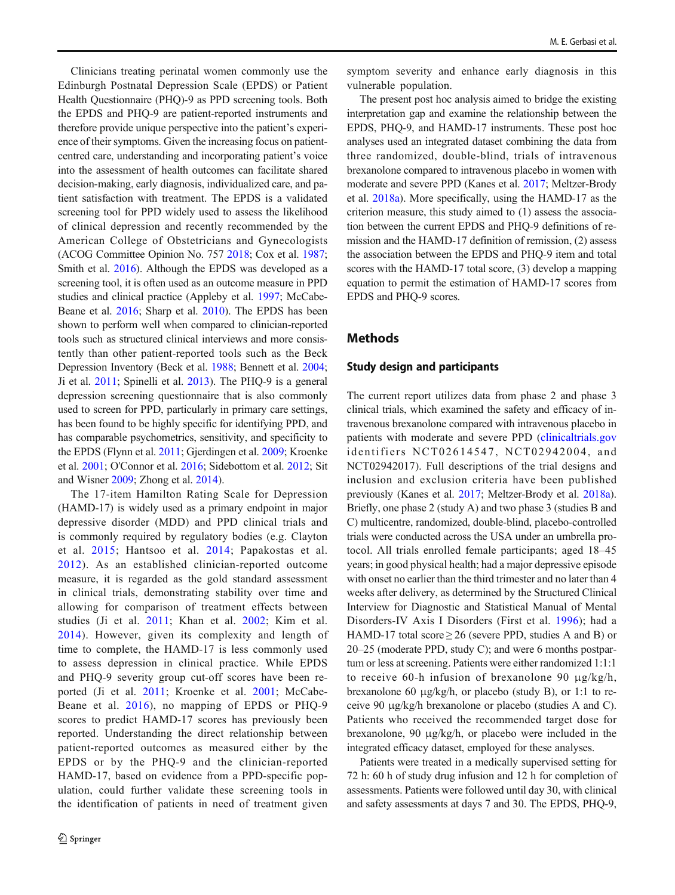Clinicians treating perinatal women commonly use the Edinburgh Postnatal Depression Scale (EPDS) or Patient Health Questionnaire (PHQ)-9 as PPD screening tools. Both the EPDS and PHQ-9 are patient-reported instruments and therefore provide unique perspective into the patient's experience of their symptoms. Given the increasing focus on patientcentred care, understanding and incorporating patient's voice into the assessment of health outcomes can facilitate shared decision-making, early diagnosis, individualized care, and patient satisfaction with treatment. The EPDS is a validated screening tool for PPD widely used to assess the likelihood of clinical depression and recently recommended by the American College of Obstetricians and Gynecologists (ACOG Committee Opinion No. 757 [2018](#page-6-0); Cox et al. [1987](#page-7-0); Smith et al. [2016](#page-8-0)). Although the EPDS was developed as a screening tool, it is often used as an outcome measure in PPD studies and clinical practice (Appleby et al. [1997;](#page-6-0) McCabe-Beane et al. [2016](#page-7-0); Sharp et al. [2010](#page-8-0)). The EPDS has been shown to perform well when compared to clinician-reported tools such as structured clinical interviews and more consistently than other patient-reported tools such as the Beck Depression Inventory (Beck et al. [1988;](#page-6-0) Bennett et al. [2004](#page-7-0); Ji et al. [2011](#page-7-0); Spinelli et al. [2013\)](#page-8-0). The PHQ-9 is a general depression screening questionnaire that is also commonly used to screen for PPD, particularly in primary care settings, has been found to be highly specific for identifying PPD, and has comparable psychometrics, sensitivity, and specificity to the EPDS (Flynn et al. [2011;](#page-7-0) Gjerdingen et al. [2009;](#page-7-0) Kroenke et al. [2001](#page-7-0); O'Connor et al. [2016](#page-7-0); Sidebottom et al. [2012](#page-8-0); Sit and Wisner [2009;](#page-8-0) Zhong et al. [2014](#page-8-0)).

The 17-item Hamilton Rating Scale for Depression (HAMD-17) is widely used as a primary endpoint in major depressive disorder (MDD) and PPD clinical trials and is commonly required by regulatory bodies (e.g. Clayton et al. [2015](#page-7-0); Hantsoo et al. [2014](#page-7-0); Papakostas et al. [2012](#page-7-0)). As an established clinician-reported outcome measure, it is regarded as the gold standard assessment in clinical trials, demonstrating stability over time and allowing for comparison of treatment effects between studies (Ji et al. [2011;](#page-7-0) Khan et al. [2002;](#page-7-0) Kim et al. [2014](#page-7-0)). However, given its complexity and length of time to complete, the HAMD-17 is less commonly used to assess depression in clinical practice. While EPDS and PHQ-9 severity group cut-off scores have been reported (Ji et al. [2011](#page-7-0); Kroenke et al. [2001](#page-7-0); McCabe-Beane et al. [2016\)](#page-7-0), no mapping of EPDS or PHQ-9 scores to predict HAMD-17 scores has previously been reported. Understanding the direct relationship between patient-reported outcomes as measured either by the EPDS or by the PHQ-9 and the clinician-reported HAMD-17, based on evidence from a PPD-specific population, could further validate these screening tools in the identification of patients in need of treatment given

symptom severity and enhance early diagnosis in this vulnerable population.

The present post hoc analysis aimed to bridge the existing interpretation gap and examine the relationship between the EPDS, PHQ-9, and HAMD-17 instruments. These post hoc analyses used an integrated dataset combining the data from three randomized, double-blind, trials of intravenous brexanolone compared to intravenous placebo in women with moderate and severe PPD (Kanes et al. [2017](#page-7-0); Meltzer-Brody et al. [2018a\)](#page-7-0). More specifically, using the HAMD-17 as the criterion measure, this study aimed to (1) assess the association between the current EPDS and PHQ-9 definitions of remission and the HAMD-17 definition of remission, (2) assess the association between the EPDS and PHQ-9 item and total scores with the HAMD-17 total score, (3) develop a mapping equation to permit the estimation of HAMD-17 scores from EPDS and PHQ-9 scores.

## Methods

#### Study design and participants

The current report utilizes data from phase 2 and phase 3 clinical trials, which examined the safety and efficacy of intravenous brexanolone compared with intravenous placebo in patients with moderate and severe PPD [\(clinicaltrials.gov](http://creativecommons.org/licenses/by/4.0/) identifiers NCT02614547, NCT02942004, and NCT02942017). Full descriptions of the trial designs and inclusion and exclusion criteria have been published previously (Kanes et al. [2017](#page-7-0); Meltzer-Brody et al. [2018a\)](#page-7-0). Briefly, one phase 2 (study A) and two phase 3 (studies B and C) multicentre, randomized, double-blind, placebo-controlled trials were conducted across the USA under an umbrella protocol. All trials enrolled female participants; aged 18–45 years; in good physical health; had a major depressive episode with onset no earlier than the third trimester and no later than 4 weeks after delivery, as determined by the Structured Clinical Interview for Diagnostic and Statistical Manual of Mental Disorders-IV Axis I Disorders (First et al. [1996\)](#page-7-0); had a HAMD-17 total score  $\geq$  26 (severe PPD, studies A and B) or 20–25 (moderate PPD, study C); and were 6 months postpartum or less at screening. Patients were either randomized 1:1:1 to receive 60-h infusion of brexanolone 90 μg/kg/h, brexanolone 60 μg/kg/h, or placebo (study B), or 1:1 to receive 90 μg/kg/h brexanolone or placebo (studies A and C). Patients who received the recommended target dose for brexanolone, 90 μg/kg/h, or placebo were included in the integrated efficacy dataset, employed for these analyses.

Patients were treated in a medically supervised setting for 72 h: 60 h of study drug infusion and 12 h for completion of assessments. Patients were followed until day 30, with clinical and safety assessments at days 7 and 30. The EPDS, PHQ-9,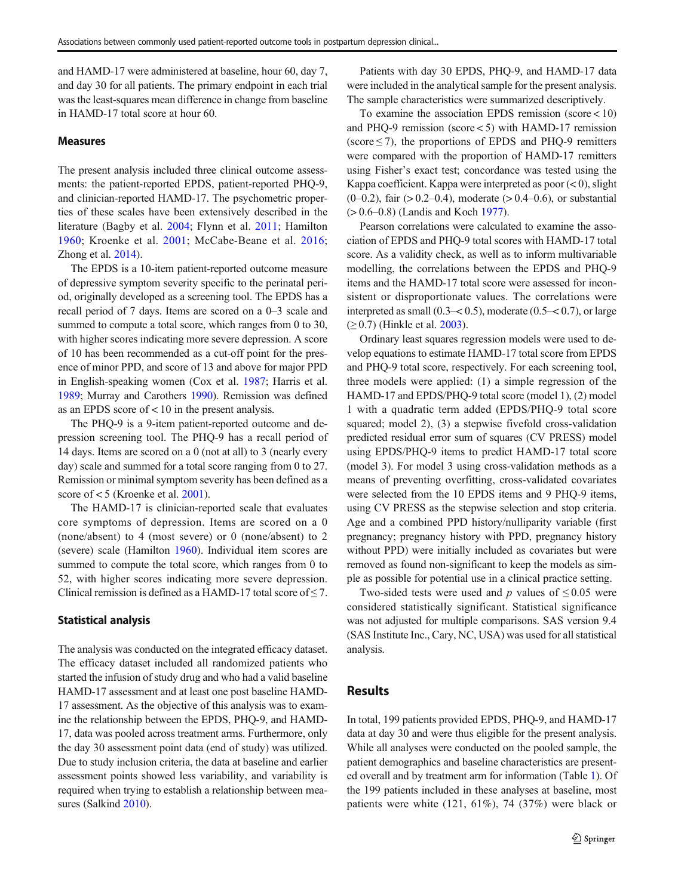and HAMD-17 were administered at baseline, hour 60, day 7, and day 30 for all patients. The primary endpoint in each trial was the least-squares mean difference in change from baseline in HAMD-17 total score at hour 60.

#### Measures

The present analysis included three clinical outcome assessments: the patient-reported EPDS, patient-reported PHQ-9, and clinician-reported HAMD-17. The psychometric properties of these scales have been extensively described in the literature (Bagby et al. [2004;](#page-6-0) Flynn et al. [2011](#page-7-0); Hamilton [1960;](#page-7-0) Kroenke et al. [2001;](#page-7-0) McCabe-Beane et al. [2016](#page-7-0); Zhong et al. [2014](#page-8-0)).

The EPDS is a 10-item patient-reported outcome measure of depressive symptom severity specific to the perinatal period, originally developed as a screening tool. The EPDS has a recall period of 7 days. Items are scored on a 0–3 scale and summed to compute a total score, which ranges from 0 to 30, with higher scores indicating more severe depression. A score of 10 has been recommended as a cut-off point for the presence of minor PPD, and score of 13 and above for major PPD in English-speaking women (Cox et al. [1987](#page-7-0); Harris et al. [1989;](#page-7-0) Murray and Carothers [1990\)](#page-7-0). Remission was defined as an EPDS score of  $< 10$  in the present analysis.

The PHQ-9 is a 9-item patient-reported outcome and depression screening tool. The PHQ-9 has a recall period of 14 days. Items are scored on a 0 (not at all) to 3 (nearly every day) scale and summed for a total score ranging from 0 to 27. Remission or minimal symptom severity has been defined as a score of < 5 (Kroenke et al. [2001](#page-7-0)).

The HAMD-17 is clinician-reported scale that evaluates core symptoms of depression. Items are scored on a 0 (none/absent) to 4 (most severe) or 0 (none/absent) to 2 (severe) scale (Hamilton [1960\)](#page-7-0). Individual item scores are summed to compute the total score, which ranges from 0 to 52, with higher scores indicating more severe depression. Clinical remission is defined as a HAMD-17 total score of  $\leq$  7.

#### Statistical analysis

The analysis was conducted on the integrated efficacy dataset. The efficacy dataset included all randomized patients who started the infusion of study drug and who had a valid baseline HAMD-17 assessment and at least one post baseline HAMD-17 assessment. As the objective of this analysis was to examine the relationship between the EPDS, PHQ-9, and HAMD-17, data was pooled across treatment arms. Furthermore, only the day 30 assessment point data (end of study) was utilized. Due to study inclusion criteria, the data at baseline and earlier assessment points showed less variability, and variability is required when trying to establish a relationship between measures (Salkind [2010](#page-8-0)).

Patients with day 30 EPDS, PHO-9, and HAMD-17 data were included in the analytical sample for the present analysis. The sample characteristics were summarized descriptively.

To examine the association EPDS remission (score < 10) and PHQ-9 remission (score < 5) with HAMD-17 remission (score  $\leq$  7), the proportions of EPDS and PHQ-9 remitters were compared with the proportion of HAMD-17 remitters using Fisher's exact test; concordance was tested using the Kappa coefficient. Kappa were interpreted as poor  $(< 0)$ , slight  $(0-0.2)$ , fair  $(0.2-0.4)$ , moderate  $(0.4-0.6)$ , or substantial (> 0.6–0.8) (Landis and Koch [1977](#page-7-0)).

Pearson correlations were calculated to examine the association of EPDS and PHQ-9 total scores with HAMD-17 total score. As a validity check, as well as to inform multivariable modelling, the correlations between the EPDS and PHQ-9 items and the HAMD-17 total score were assessed for inconsistent or disproportionate values. The correlations were interpreted as small  $(0.3 - 0.5)$ , moderate  $(0.5 - 0.7)$ , or large  $(≥ 0.7)$  (Hinkle et al. [2003\)](#page-7-0).

Ordinary least squares regression models were used to develop equations to estimate HAMD-17 total score from EPDS and PHQ-9 total score, respectively. For each screening tool, three models were applied: (1) a simple regression of the HAMD-17 and EPDS/PHQ-9 total score (model 1), (2) model 1 with a quadratic term added (EPDS/PHQ-9 total score squared; model 2), (3) a stepwise fivefold cross-validation predicted residual error sum of squares (CV PRESS) model using EPDS/PHQ-9 items to predict HAMD-17 total score (model 3). For model 3 using cross-validation methods as a means of preventing overfitting, cross-validated covariates were selected from the 10 EPDS items and 9 PHQ-9 items, using CV PRESS as the stepwise selection and stop criteria. Age and a combined PPD history/nulliparity variable (first pregnancy; pregnancy history with PPD, pregnancy history without PPD) were initially included as covariates but were removed as found non-significant to keep the models as simple as possible for potential use in a clinical practice setting.

Two-sided tests were used and p values of  $\leq 0.05$  were considered statistically significant. Statistical significance was not adjusted for multiple comparisons. SAS version 9.4 (SAS Institute Inc., Cary, NC, USA) was used for all statistical analysis.

## Results

In total, 199 patients provided EPDS, PHQ-9, and HAMD-17 data at day 30 and were thus eligible for the present analysis. While all analyses were conducted on the pooled sample, the patient demographics and baseline characteristics are presented overall and by treatment arm for information (Table [1\)](#page-3-0). Of the 199 patients included in these analyses at baseline, most patients were white (121, 61%), 74 (37%) were black or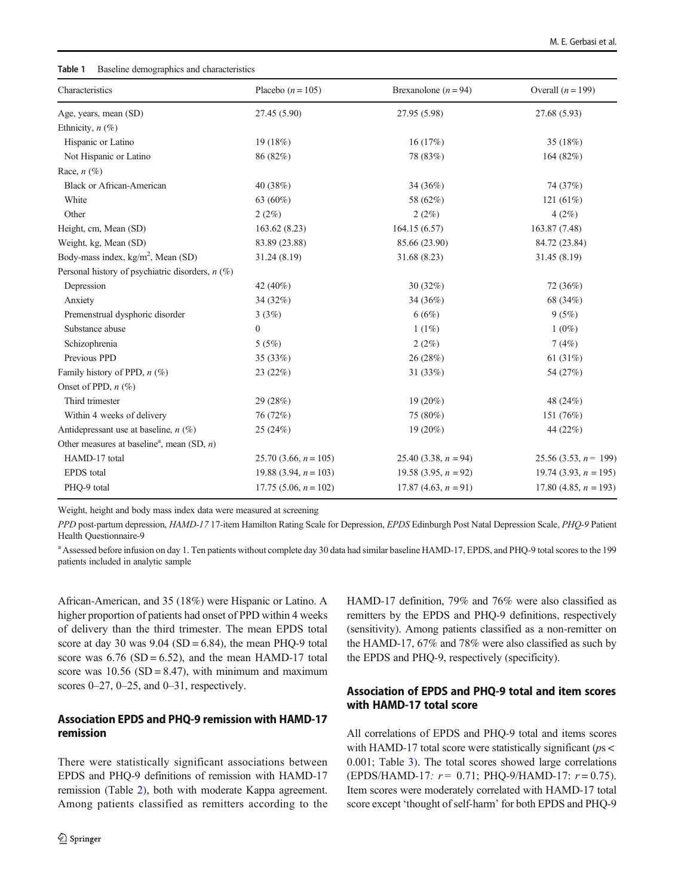#### <span id="page-3-0"></span>Table 1 Baseline demographics and characteristics

| Characteristics                                           | Placebo $(n = 105)$      | Brexanolone $(n = 94)$  | Overall $(n = 199)$      |  |
|-----------------------------------------------------------|--------------------------|-------------------------|--------------------------|--|
| Age, years, mean (SD)                                     | 27.45 (5.90)             | 27.95 (5.98)            | 27.68 (5.93)             |  |
| Ethnicity, $n$ (%)                                        |                          |                         |                          |  |
| Hispanic or Latino                                        | 19 (18%)                 | 16(17%)                 | 35 (18%)                 |  |
| Not Hispanic or Latino                                    | 86 (82%)                 | 78 (83%)                | 164 (82%)                |  |
| Race, $n$ (%)                                             |                          |                         |                          |  |
| <b>Black or African-American</b>                          | 40 (38%)                 | 34 (36%)                | 74 (37%)                 |  |
| White                                                     | 63 (60%)                 | 58 (62%)                | 121 $(61\%)$             |  |
| Other                                                     | 2(2%)                    | 2(2%)                   | 4(2%)                    |  |
| Height, cm, Mean (SD)                                     | 163.62 (8.23)            | 164.15(6.57)            | 163.87 (7.48)            |  |
| Weight, kg, Mean (SD)                                     | 83.89 (23.88)            | 85.66 (23.90)           | 84.72 (23.84)            |  |
| Body-mass index, $kg/m2$ , Mean (SD)                      | 31.24 (8.19)             | 31.68 (8.23)            | 31.45 (8.19)             |  |
| Personal history of psychiatric disorders, $n$ (%)        |                          |                         |                          |  |
| Depression                                                | 42 (40%)                 | 30(32%)                 | 72 (36%)                 |  |
| Anxiety                                                   | 34 (32%)                 | 34 (36%)                | 68 (34%)                 |  |
| Premenstrual dysphoric disorder                           | 3(3%)                    | 6(6%)                   | 9(5%)                    |  |
| Substance abuse                                           | $\mathbf{0}$             | 1(1%)                   | $1(0\%)$                 |  |
| Schizophrenia                                             | 5(5%)                    | 2(2%)                   | 7(4%)                    |  |
| Previous PPD                                              | 35(33%)                  | 26 (28%)                | 61 (31%)                 |  |
| Family history of PPD, $n$ (%)                            | 23 (22%)                 | 31 (33%)                | 54 (27%)                 |  |
| Onset of PPD, $n$ (%)                                     |                          |                         |                          |  |
| Third trimester                                           | 29 (28%)                 | 19 (20%)                | 48 (24%)                 |  |
| Within 4 weeks of delivery                                | 76 (72%)                 | 75 (80%)                | 151 (76%)                |  |
| Antidepressant use at baseline, $n$ (%)                   | 25 (24%)                 | 19 (20%)                | 44 (22%)                 |  |
| Other measures at baseline <sup>a</sup> , mean (SD, $n$ ) |                          |                         |                          |  |
| HAMD-17 total                                             | 25.70 (3.66, $n = 105$ ) | 25.40 (3.38, $n = 94$ ) | 25.56 (3.53, $n = 199$ ) |  |
| <b>EPDS</b> total                                         | 19.88 (3.94, $n = 103$ ) | 19.58 (3.95, $n = 92$ ) | 19.74 (3.93, $n = 195$ ) |  |
| PHQ-9 total                                               | 17.75 (5.06, $n = 102$ ) | 17.87 (4.63, $n = 91$ ) | 17.80 (4.85, $n = 193$ ) |  |

Weight, height and body mass index data were measured at screening

PPD post-partum depression, HAMD-17 17-item Hamilton Rating Scale for Depression, EPDS Edinburgh Post Natal Depression Scale, PHQ-9 Patient Health Questionnaire-9

<sup>a</sup> Assessed before infusion on day 1. Ten patients without complete day 30 data had similar baseline HAMD-17, EPDS, and PHQ-9 total scores to the 199 patients included in analytic sample

African-American, and 35 (18%) were Hispanic or Latino. A higher proportion of patients had onset of PPD within 4 weeks of delivery than the third trimester. The mean EPDS total score at day 30 was  $9.04$  (SD = 6.84), the mean PHQ-9 total score was  $6.76$  (SD =  $6.52$ ), and the mean HAMD-17 total score was  $10.56$  (SD = 8.47), with minimum and maximum scores  $0-27$ ,  $0-25$ , and  $0-31$ , respectively.

# Association EPDS and PHQ-9 remission with HAMD-17 remission

There were statistically significant associations between EPDS and PHQ-9 definitions of remission with HAMD-17 remission (Table [2](#page-4-0)), both with moderate Kappa agreement. Among patients classified as remitters according to the HAMD-17 definition, 79% and 76% were also classified as remitters by the EPDS and PHQ-9 definitions, respectively (sensitivity). Among patients classified as a non-remitter on the HAMD-17, 67% and 78% were also classified as such by the EPDS and PHQ-9, respectively (specificity).

# Association of EPDS and PHQ-9 total and item scores with HAMD-17 total score

All correlations of EPDS and PHQ-9 total and items scores with HAMD-17 total score were statistically significant ( $ps <$ 0.001; Table [3](#page-4-0)). The total scores showed large correlations (EPDS/HAMD-17:  $r = 0.71$ ; PHQ-9/HAMD-17:  $r = 0.75$ ). Item scores were moderately correlated with HAMD-17 total score except 'thought of self-harm' for both EPDS and PHQ-9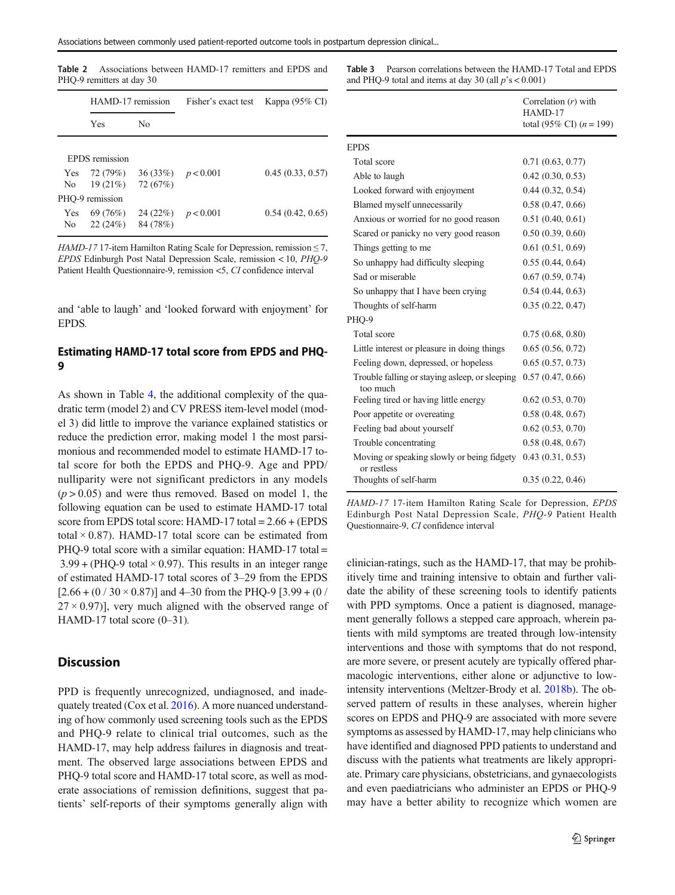<span id="page-4-0"></span>Table 2 Associations between HAMD-17 remitters and EPDS and PHQ-9 remitters at day 30

|                   | HAMD-17 remission   |                                   | Fisher's exact test | Kappa $(95\% \text{ CI})$ |  |
|-------------------|---------------------|-----------------------------------|---------------------|---------------------------|--|
|                   | Yes                 | No                                |                     |                           |  |
|                   | EPDS remission      |                                   |                     |                           |  |
| Yes<br>No.        | 72 (79%)<br>19(21%) | 36 (33%) $p < 0.001$<br>72(67%)   |                     | 0.45(0.33, 0.57)          |  |
|                   | PHQ-9 remission     |                                   |                     |                           |  |
| <b>Yes</b><br>No. | 69 (76%)<br>22(24%) | 24 (22\%) $p < 0.001$<br>84 (78%) |                     | 0.54(0.42, 0.65)          |  |

HAMD-17 17-item Hamilton Rating Scale for Depression, remission  $\leq$  7, EPDS Edinburgh Post Natal Depression Scale, remission < 10, PHQ-9 Patient Health Questionnaire-9, remission <5, CI confidence interval

and 'able to laugh' and 'looked forward with enjoyment' for EPDS.

# Estimating HAMD-17 total score from EPDS and PHQ-9

As shown in Table [4](#page-5-0), the additional complexity of the quadratic term (model 2) and CV PRESS item-level model (model 3) did little to improve the variance explained statistics or reduce the prediction error, making model 1 the most parsimonious and recommended model to estimate HAMD-17 total score for both the EPDS and PHQ-9. Age and PPD/ nulliparity were not significant predictors in any models  $(p > 0.05)$  and were thus removed. Based on model 1, the following equation can be used to estimate HAMD-17 total score from EPDS total score: HAMD-17 total = 2.66 + (EPDS total  $\times$  0.87). HAMD-17 total score can be estimated from PHQ-9 total score with a similar equation: HAMD-17 total =  $3.99 + (PHO-9$  total  $\times$  0.97). This results in an integer range of estimated HAMD-17 total scores of 3–29 from the EPDS  $[2.66 + (0 / 30 \times 0.87)]$  and 4-30 from the PHQ-9 [3.99 + (0 /  $27 \times 0.97$ ], very much aligned with the observed range of HAMD-17 total score  $(0-31)$ .

## **Discussion**

PPD is frequently unrecognized, undiagnosed, and inadequately treated (Cox et al. [2016\)](#page-7-0). A more nuanced understanding of how commonly used screening tools such as the EPDS and PHQ-9 relate to clinical trial outcomes, such as the HAMD-17, may help address failures in diagnosis and treatment. The observed large associations between EPDS and PHQ-9 total score and HAMD-17 total score, as well as moderate associations of remission definitions, suggest that patients' self-reports of their symptoms generally align with Table 3 Pearson correlations between the HAMD-17 Total and EPDS and PHQ-9 total and items at day 30 (all  $p's < 0.001$ )

|                                                            | Correlation $(r)$ with<br>HAMD-17<br>total (95% CI) $(n = 199)$ |
|------------------------------------------------------------|-----------------------------------------------------------------|
| <b>EPDS</b>                                                |                                                                 |
| Total score                                                | 0.71(0.63, 0.77)                                                |
| Able to laugh                                              | 0.42(0.30, 0.53)                                                |
| Looked forward with enjoyment                              | 0.44(0.32, 0.54)                                                |
| Blamed myself unnecessarily                                | 0.58(0.47, 0.66)                                                |
| Anxious or worried for no good reason                      | 0.51(0.40, 0.61)                                                |
| Scared or panicky no very good reason                      | 0.50(0.39, 0.60)                                                |
| Things getting to me                                       | 0.61(0.51, 0.69)                                                |
| So unhappy had difficulty sleeping                         | 0.55(0.44, 0.64)                                                |
| Sad or miserable                                           | 0.67(0.59, 0.74)                                                |
| So unhappy that I have been crying                         | 0.54(0.44, 0.63)                                                |
| Thoughts of self-harm                                      | 0.35(0.22, 0.47)                                                |
| PHQ-9                                                      |                                                                 |
| Total score                                                | 0.75(0.68, 0.80)                                                |
| Little interest or pleasure in doing things                | 0.65(0.56, 0.72)                                                |
| Feeling down, depressed, or hopeless                       | 0.65(0.57, 0.73)                                                |
| Trouble falling or staying asleep, or sleeping<br>too much | 0.57(0.47, 0.66)                                                |
| Feeling tired or having little energy                      | 0.62(0.53, 0.70)                                                |
| Poor appetite or overeating                                | 0.58(0.48, 0.67)                                                |
| Feeling bad about yourself                                 | 0.62(0.53, 0.70)                                                |
| Trouble concentrating                                      | 0.58(0.48, 0.67)                                                |
| Moving or speaking slowly or being fidgety<br>or restless  | 0.43(0.31, 0.53)                                                |
| Thoughts of self-harm                                      | 0.35(0.22, 0.46)                                                |

HAMD-17 17-item Hamilton Rating Scale for Depression, EPDS Edinburgh Post Natal Depression Scale, PHQ-9 Patient Health Questionnaire-9, CI confidence interval

clinician-ratings, such as the HAMD-17, that may be prohibitively time and training intensive to obtain and further validate the ability of these screening tools to identify patients with PPD symptoms. Once a patient is diagnosed, management generally follows a stepped care approach, wherein patients with mild symptoms are treated through low-intensity interventions and those with symptoms that do not respond, are more severe, or present acutely are typically offered pharmacologic interventions, either alone or adjunctive to lowintensity interventions (Meltzer-Brody et al. [2018b\)](#page-7-0). The observed pattern of results in these analyses, wherein higher scores on EPDS and PHQ-9 are associated with more severe symptoms as assessed by HAMD-17, may help clinicians who have identified and diagnosed PPD patients to understand and discuss with the patients what treatments are likely appropriate. Primary care physicians, obstetricians, and gynaecologists and even paediatricians who administer an EPDS or PHQ-9 may have a better ability to recognize which women are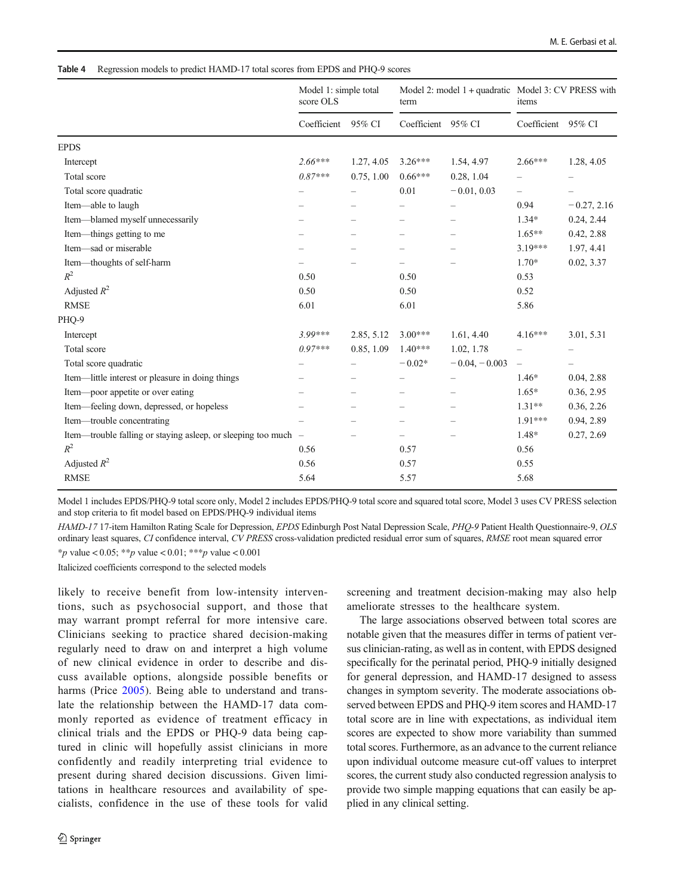#### <span id="page-5-0"></span>Table 4 Regression models to predict HAMD-17 total scores from EPDS and PHQ-9 scores

|                                                                | Model 1: simple total<br>score OLS |                          | Model 2: model 1 + quadratic Model 3: CV PRESS with<br>term |                          | items                    |                          |
|----------------------------------------------------------------|------------------------------------|--------------------------|-------------------------------------------------------------|--------------------------|--------------------------|--------------------------|
|                                                                | Coefficient                        | 95% CI                   | Coefficient                                                 | 95% CI                   | Coefficient              | 95% CI                   |
| <b>EPDS</b>                                                    |                                    |                          |                                                             |                          |                          |                          |
| Intercept                                                      | $2.66***$                          | 1.27, 4.05               | $3.26***$                                                   | 1.54, 4.97               | $2.66***$                | 1.28, 4.05               |
| Total score                                                    | $0.87***$                          | 0.75, 1.00               | $0.66***$                                                   | 0.28, 1.04               |                          | $\overline{\phantom{0}}$ |
| Total score quadratic                                          | $\overline{\phantom{m}}$           | $\overline{\phantom{0}}$ | 0.01                                                        | $-0.01, 0.03$            | $\overline{\phantom{0}}$ | $\overline{\phantom{m}}$ |
| Item-able to laugh                                             |                                    |                          |                                                             |                          | 0.94                     | $-0.27, 2.16$            |
| Item---blamed myself unnecessarily                             |                                    |                          |                                                             |                          | $1.34*$                  | 0.24, 2.44               |
| Item—things getting to me                                      |                                    | $\overline{\phantom{0}}$ | $\overline{\phantom{0}}$                                    |                          | $1.65***$                | 0.42, 2.88               |
| Item—sad or miserable                                          |                                    |                          |                                                             |                          | $3.19***$                | 1.97, 4.41               |
| Item-thoughts of self-harm                                     |                                    |                          |                                                             |                          | $1.70*$                  | 0.02, 3.37               |
| $R^2$                                                          | 0.50                               |                          | 0.50                                                        |                          | 0.53                     |                          |
| Adjusted $R^2$                                                 | 0.50                               |                          | 0.50                                                        |                          | 0.52                     |                          |
| <b>RMSE</b>                                                    | 6.01                               |                          | 6.01                                                        |                          | 5.86                     |                          |
| PHO-9                                                          |                                    |                          |                                                             |                          |                          |                          |
| Intercept                                                      | $3.99***$                          | 2.85, 5.12               | $3.00***$                                                   | 1.61, 4.40               | $4.16***$                | 3.01, 5.31               |
| Total score                                                    | $0.97***$                          | 0.85, 1.09               | $1.40***$                                                   | 1.02, 1.78               |                          | $\overline{\phantom{m}}$ |
| Total score quadratic                                          |                                    |                          | $-0.02*$                                                    | $-0.04, -0.003$          | $\overline{\phantom{m}}$ | -                        |
| Item—little interest or pleasure in doing things               |                                    |                          |                                                             | $\overline{\phantom{0}}$ | $1.46*$                  | 0.04, 2.88               |
| Item-poor appetite or over eating                              |                                    | -                        |                                                             |                          | $1.65*$                  | 0.36, 2.95               |
| Item—feeling down, depressed, or hopeless                      |                                    |                          |                                                             |                          | $1.31**$                 | 0.36, 2.26               |
| Item---trouble concentrating                                   | $\overline{\phantom{a}}$           | $\overline{\phantom{m}}$ | -                                                           | $\overline{\phantom{0}}$ | 1.91***                  | 0.94, 2.89               |
| Item—trouble falling or staying asleep, or sleeping too much – |                                    |                          |                                                             |                          | 1.48*                    | 0.27, 2.69               |
| $R^2$                                                          | 0.56                               |                          | 0.57                                                        |                          | 0.56                     |                          |
| Adjusted $R^2$                                                 | 0.56                               |                          | 0.57                                                        |                          | 0.55                     |                          |
| <b>RMSE</b>                                                    | 5.64                               |                          | 5.57                                                        |                          | 5.68                     |                          |

Model 1 includes EPDS/PHQ-9 total score only, Model 2 includes EPDS/PHQ-9 total score and squared total score, Model 3 uses CV PRESS selection and stop criteria to fit model based on EPDS/PHQ-9 individual items

HAMD-17 17-item Hamilton Rating Scale for Depression, EPDS Edinburgh Post Natal Depression Scale, PHQ-9 Patient Health Questionnaire-9, OLS ordinary least squares, CI confidence interval, CV PRESS cross-validation predicted residual error sum of squares, RMSE root mean squared error \*p value < 0.05; \*\*p value < 0.01; \*\*\*p value < 0.001

Italicized coefficients correspond to the selected models

likely to receive benefit from low-intensity interventions, such as psychosocial support, and those that may warrant prompt referral for more intensive care. Clinicians seeking to practice shared decision-making regularly need to draw on and interpret a high volume of new clinical evidence in order to describe and discuss available options, alongside possible benefits or harms (Price [2005](#page-8-0)). Being able to understand and translate the relationship between the HAMD-17 data commonly reported as evidence of treatment efficacy in clinical trials and the EPDS or PHQ-9 data being captured in clinic will hopefully assist clinicians in more confidently and readily interpreting trial evidence to present during shared decision discussions. Given limitations in healthcare resources and availability of specialists, confidence in the use of these tools for valid screening and treatment decision-making may also help ameliorate stresses to the healthcare system.

The large associations observed between total scores are notable given that the measures differ in terms of patient versus clinician-rating, as well as in content, with EPDS designed specifically for the perinatal period, PHQ-9 initially designed for general depression, and HAMD-17 designed to assess changes in symptom severity. The moderate associations observed between EPDS and PHQ-9 item scores and HAMD-17 total score are in line with expectations, as individual item scores are expected to show more variability than summed total scores. Furthermore, as an advance to the current reliance upon individual outcome measure cut-off values to interpret scores, the current study also conducted regression analysis to provide two simple mapping equations that can easily be applied in any clinical setting.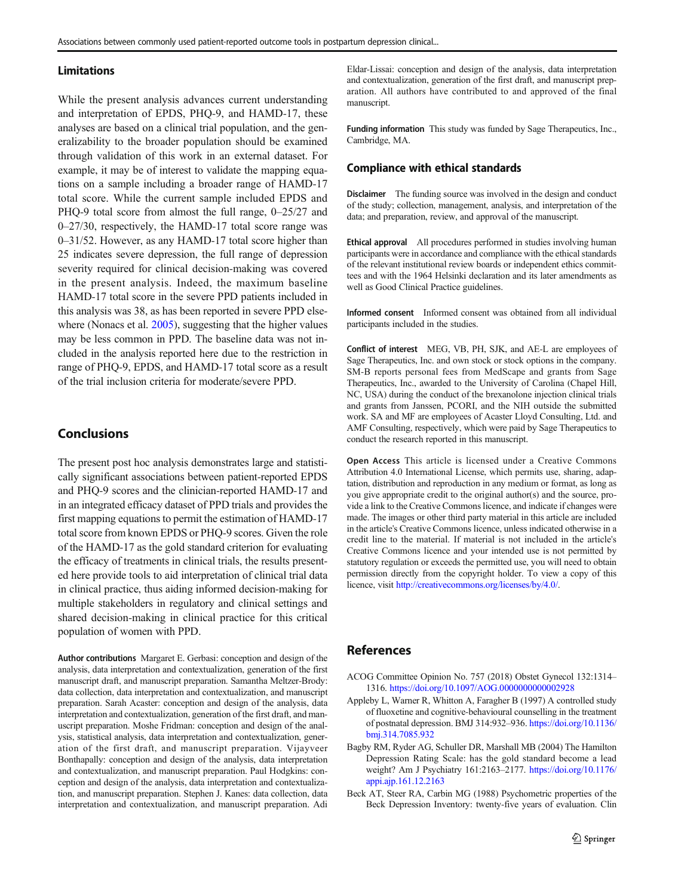#### <span id="page-6-0"></span>Limitations

While the present analysis advances current understanding and interpretation of EPDS, PHQ-9, and HAMD-17, these analyses are based on a clinical trial population, and the generalizability to the broader population should be examined through validation of this work in an external dataset. For example, it may be of interest to validate the mapping equations on a sample including a broader range of HAMD-17 total score. While the current sample included EPDS and PHQ-9 total score from almost the full range, 0–25/27 and 0–27/30, respectively, the HAMD-17 total score range was 0–31/52. However, as any HAMD-17 total score higher than 25 indicates severe depression, the full range of depression severity required for clinical decision-making was covered in the present analysis. Indeed, the maximum baseline HAMD-17 total score in the severe PPD patients included in this analysis was 38, as has been reported in severe PPD else-where (Nonacs et al. [2005](#page-7-0)), suggesting that the higher values may be less common in PPD. The baseline data was not included in the analysis reported here due to the restriction in range of PHQ-9, EPDS, and HAMD-17 total score as a result of the trial inclusion criteria for moderate/severe PPD.

# Conclusions

The present post hoc analysis demonstrates large and statistically significant associations between patient-reported EPDS and PHQ-9 scores and the clinician-reported HAMD-17 and in an integrated efficacy dataset of PPD trials and provides the first mapping equations to permit the estimation of HAMD-17 total score from known EPDS or PHQ-9 scores. Given the role of the HAMD-17 as the gold standard criterion for evaluating the efficacy of treatments in clinical trials, the results presented here provide tools to aid interpretation of clinical trial data in clinical practice, thus aiding informed decision-making for multiple stakeholders in regulatory and clinical settings and shared decision-making in clinical practice for this critical population of women with PPD.

Author contributions Margaret E. Gerbasi: conception and design of the analysis, data interpretation and contextualization, generation of the first manuscript draft, and manuscript preparation. Samantha Meltzer-Brody: data collection, data interpretation and contextualization, and manuscript preparation. Sarah Acaster: conception and design of the analysis, data interpretation and contextualization, generation of the first draft, and manuscript preparation. Moshe Fridman: conception and design of the analysis, statistical analysis, data interpretation and contextualization, generation of the first draft, and manuscript preparation. Vijayveer Bonthapally: conception and design of the analysis, data interpretation and contextualization, and manuscript preparation. Paul Hodgkins: conception and design of the analysis, data interpretation and contextualization, and manuscript preparation. Stephen J. Kanes: data collection, data interpretation and contextualization, and manuscript preparation. Adi Eldar-Lissai: conception and design of the analysis, data interpretation and contextualization, generation of the first draft, and manuscript preparation. All authors have contributed to and approved of the final manuscript.

Funding information This study was funded by Sage Therapeutics, Inc., Cambridge, MA.

## Compliance with ethical standards

Disclaimer The funding source was involved in the design and conduct of the study; collection, management, analysis, and interpretation of the data; and preparation, review, and approval of the manuscript.

Ethical approval All procedures performed in studies involving human participants were in accordance and compliance with the ethical standards of the relevant institutional review boards or independent ethics committees and with the 1964 Helsinki declaration and its later amendments as well as Good Clinical Practice guidelines.

Informed consent Informed consent was obtained from all individual participants included in the studies.

Conflict of interest MEG, VB, PH, SJK, and AE-L are employees of Sage Therapeutics, Inc. and own stock or stock options in the company. SM-B reports personal fees from MedScape and grants from Sage Therapeutics, Inc., awarded to the University of Carolina (Chapel Hill, NC, USA) during the conduct of the brexanolone injection clinical trials and grants from Janssen, PCORI, and the NIH outside the submitted work. SA and MF are employees of Acaster Lloyd Consulting, Ltd. and AMF Consulting, respectively, which were paid by Sage Therapeutics to conduct the research reported in this manuscript.

Open Access This article is licensed under a Creative Commons Attribution 4.0 International License, which permits use, sharing, adaptation, distribution and reproduction in any medium or format, as long as you give appropriate credit to the original author(s) and the source, provide a link to the Creative Commons licence, and indicate if changes were made. The images or other third party material in this article are included in the article's Creative Commons licence, unless indicated otherwise in a credit line to the material. If material is not included in the article's Creative Commons licence and your intended use is not permitted by statutory regulation or exceeds the permitted use, you will need to obtain permission directly from the copyright holder. To view a copy of this licence, visit <http://creativecommons.org/licenses/by/4.0/>.

## References

- ACOG Committee Opinion No. 757 (2018) Obstet Gynecol 132:1314– 1316. <https://doi.org/10.1097/AOG.0000000000002928>
- Appleby L, Warner R, Whitton A, Faragher B (1997) A controlled study of fluoxetine and cognitive-behavioural counselling in the treatment of postnatal depression. BMJ 314:932–936. [https://doi.org/10.1136/](https://doi.org/10.1136/bmj.314.7085.932) [bmj.314.7085.932](https://doi.org/10.1136/bmj.314.7085.932)
- Bagby RM, Ryder AG, Schuller DR, Marshall MB (2004) The Hamilton Depression Rating Scale: has the gold standard become a lead weight? Am J Psychiatry 161:2163–2177. [https://doi.org/10.1176/](https://doi.org/10.1176/appi.ajp.161.12.2163) [appi.ajp.161.12.2163](https://doi.org/10.1176/appi.ajp.161.12.2163)
- Beck AT, Steer RA, Carbin MG (1988) Psychometric properties of the Beck Depression Inventory: twenty-five years of evaluation. Clin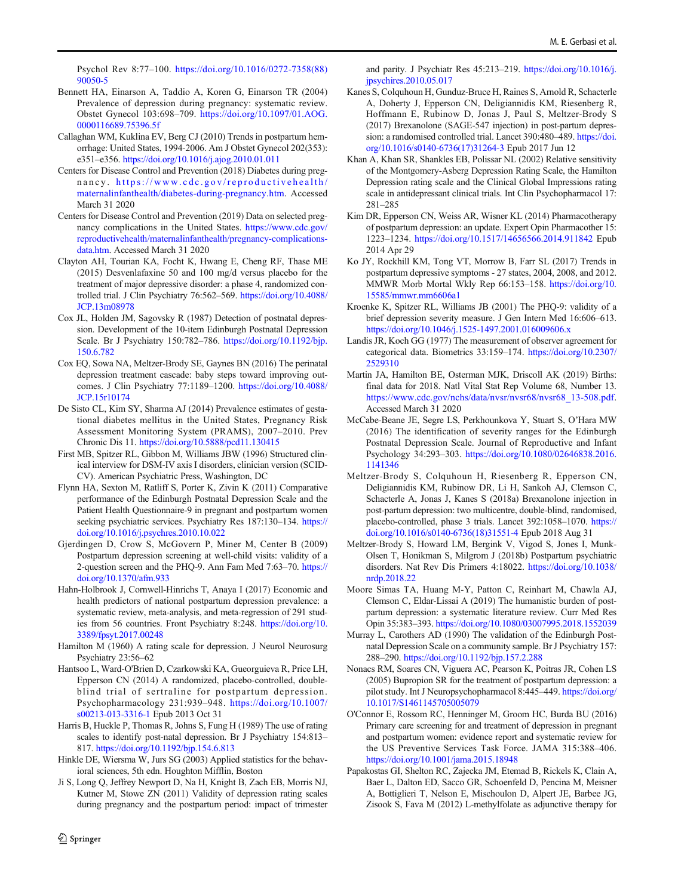<span id="page-7-0"></span>Psychol Rev 8:77–100. [https://doi.org/10.1016/0272-7358\(88\)](https://doi.org/10.1016/0272-7358(88)90050-5) [90050-5](https://doi.org/10.1016/0272-7358(88)90050-5)

- Bennett HA, Einarson A, Taddio A, Koren G, Einarson TR (2004) Prevalence of depression during pregnancy: systematic review. Obstet Gynecol 103:698–709. [https://doi.org/10.1097/01.AOG.](https://doi.org/10.1097/01.AOG.0000116689.75396.5f) [0000116689.75396.5f](https://doi.org/10.1097/01.AOG.0000116689.75396.5f)
- Callaghan WM, Kuklina EV, Berg CJ (2010) Trends in postpartum hemorrhage: United States, 1994-2006. Am J Obstet Gynecol 202(353): e351–e356. <https://doi.org/10.1016/j.ajog.2010.01.011>
- Centers for Disease Control and Prevention (2018) Diabetes during pregnancy. [https://www.cdc.gov/reproductivehealth/](http://creativecommons.org/licenses/by/4.0/) [maternalinfanthealth/diabetes-during-pregnancy.htm.](http://creativecommons.org/licenses/by/4.0/) Accessed March 31 2020
- Centers for Disease Control and Prevention (2019) Data on selected pregnancy complications in the United States. [https://www.cdc.gov/](http://creativecommons.org/licenses/by/4.0/) [reproductivehealth/maternalinfanthealth/pregnancy-complications](http://creativecommons.org/licenses/by/4.0/)[data.htm](http://creativecommons.org/licenses/by/4.0/). Accessed March 31 2020
- Clayton AH, Tourian KA, Focht K, Hwang E, Cheng RF, Thase ME (2015) Desvenlafaxine 50 and 100 mg/d versus placebo for the treatment of major depressive disorder: a phase 4, randomized controlled trial. J Clin Psychiatry 76:562–569. [https://doi.org/10.4088/](https://doi.org/10.4088/JCP.13m08978) [JCP.13m08978](https://doi.org/10.4088/JCP.13m08978)
- Cox JL, Holden JM, Sagovsky R (1987) Detection of postnatal depression. Development of the 10-item Edinburgh Postnatal Depression Scale. Br J Psychiatry 150:782–786. [https://doi.org/10.1192/bjp.](https://doi.org/10.1192/bjp.150.6.782) [150.6.782](https://doi.org/10.1192/bjp.150.6.782)
- Cox EQ, Sowa NA, Meltzer-Brody SE, Gaynes BN (2016) The perinatal depression treatment cascade: baby steps toward improving outcomes. J Clin Psychiatry 77:1189–1200. [https://doi.org/10.4088/](https://doi.org/10.4088/JCP.15r10174) [JCP.15r10174](https://doi.org/10.4088/JCP.15r10174)
- De Sisto CL, Kim SY, Sharma AJ (2014) Prevalence estimates of gestational diabetes mellitus in the United States, Pregnancy Risk Assessment Monitoring System (PRAMS), 2007–2010. Prev Chronic Dis 11. <https://doi.org/10.5888/pcd11.130415>
- First MB, Spitzer RL, Gibbon M, Williams JBW (1996) Structured clinical interview for DSM-IV axis I disorders, clinician version (SCID-CV). American Psychiatric Press, Washington, DC
- Flynn HA, Sexton M, Ratliff S, Porter K, Zivin K (2011) Comparative performance of the Edinburgh Postnatal Depression Scale and the Patient Health Questionnaire-9 in pregnant and postpartum women seeking psychiatric services. Psychiatry Res 187:130–134. [https://](https://doi.org/10.1016/j.psychres.2010.10.022) [doi.org/10.1016/j.psychres.2010.10.022](https://doi.org/10.1016/j.psychres.2010.10.022)
- Gjerdingen D, Crow S, McGovern P, Miner M, Center B (2009) Postpartum depression screening at well-child visits: validity of a 2-question screen and the PHQ-9. Ann Fam Med 7:63–70. [https://](https://doi.org/10.1370/afm.933) [doi.org/10.1370/afm.933](https://doi.org/10.1370/afm.933)
- Hahn-Holbrook J, Cornwell-Hinrichs T, Anaya I (2017) Economic and health predictors of national postpartum depression prevalence: a systematic review, meta-analysis, and meta-regression of 291 studies from 56 countries. Front Psychiatry 8:248. [https://doi.org/10.](https://doi.org/10.3389/fpsyt.2017.00248) [3389/fpsyt.2017.00248](https://doi.org/10.3389/fpsyt.2017.00248)
- Hamilton M (1960) A rating scale for depression. J Neurol Neurosurg Psychiatry 23:56–62
- Hantsoo L, Ward-O'Brien D, Czarkowski KA, Gueorguieva R, Price LH, Epperson CN (2014) A randomized, placebo-controlled, doubleblind trial of sertraline for postpartum depression. Psychopharmacology 231:939–948. [https://doi.org/10.1007/](https://doi.org/10.1007/s00213-013-3316-1) [s00213-013-3316-1](https://doi.org/10.1007/s00213-013-3316-1) Epub 2013 Oct 31
- Harris B, Huckle P, Thomas R, Johns S, Fung H (1989) The use of rating scales to identify post-natal depression. Br J Psychiatry 154:813– 817. <https://doi.org/10.1192/bjp.154.6.813>
- Hinkle DE, Wiersma W, Jurs SG (2003) Applied statistics for the behavioral sciences, 5th edn. Houghton Mifflin, Boston
- Ji S, Long Q, Jeffrey Newport D, Na H, Knight B, Zach EB, Morris NJ, Kutner M, Stowe ZN (2011) Validity of depression rating scales during pregnancy and the postpartum period: impact of trimester

and parity. J Psychiatr Res 45:213–219. [https://doi.org/10.1016/j.](https://doi.org/10.1016/j.jpsychires.2010.05.017) [jpsychires.2010.05.017](https://doi.org/10.1016/j.jpsychires.2010.05.017)

- Kanes S, Colquhoun H, Gunduz-Bruce H, Raines S, Arnold R, Schacterle A, Doherty J, Epperson CN, Deligiannidis KM, Riesenberg R, Hoffmann E, Rubinow D, Jonas J, Paul S, Meltzer-Brody S (2017) Brexanolone (SAGE-547 injection) in post-partum depression: a randomised controlled trial. Lancet 390:480–489. [https://doi.](https://doi.org/10.1016/s0140-6736(17)31264-3) [org/10.1016/s0140-6736\(17\)31264-3](https://doi.org/10.1016/s0140-6736(17)31264-3) Epub 2017 Jun 12
- Khan A, Khan SR, Shankles EB, Polissar NL (2002) Relative sensitivity of the Montgomery-Asberg Depression Rating Scale, the Hamilton Depression rating scale and the Clinical Global Impressions rating scale in antidepressant clinical trials. Int Clin Psychopharmacol 17: 281–285
- Kim DR, Epperson CN, Weiss AR, Wisner KL (2014) Pharmacotherapy of postpartum depression: an update. Expert Opin Pharmacother 15: 1223–1234. <https://doi.org/10.1517/14656566.2014.911842> Epub 2014 Apr 29
- Ko JY, Rockhill KM, Tong VT, Morrow B, Farr SL (2017) Trends in postpartum depressive symptoms - 27 states, 2004, 2008, and 2012. MMWR Morb Mortal Wkly Rep 66:153–158. [https://doi.org/10.](https://doi.org/10.15585/mmwr.mm6606a1) [15585/mmwr.mm6606a1](https://doi.org/10.15585/mmwr.mm6606a1)
- Kroenke K, Spitzer RL, Williams JB (2001) The PHQ-9: validity of a brief depression severity measure. J Gen Intern Med 16:606–613. <https://doi.org/10.1046/j.1525-1497.2001.016009606.x>
- Landis JR, Koch GG (1977) The measurement of observer agreement for categorical data. Biometrics 33:159–174. [https://doi.org/10.2307/](https://doi.org/10.2307/2529310) [2529310](https://doi.org/10.2307/2529310)
- Martin JA, Hamilton BE, Osterman MJK, Driscoll AK (2019) Births: final data for 2018. Natl Vital Stat Rep Volume 68, Number 13. [https://www.cdc.gov/nchs/data/nvsr/nvsr68/nvsr68\\_13-508.pdf](http://creativecommons.org/licenses/by/4.0/). Accessed March 31 2020
- McCabe-Beane JE, Segre LS, Perkhounkova Y, Stuart S, O'Hara MW (2016) The identification of severity ranges for the Edinburgh Postnatal Depression Scale. Journal of Reproductive and Infant Psychology 34:293–303. [https://doi.org/10.1080/02646838.2016.](https://doi.org/10.1080/02646838.2016.1141346) [1141346](https://doi.org/10.1080/02646838.2016.1141346)
- Meltzer-Brody S, Colquhoun H, Riesenberg R, Epperson CN, Deligiannidis KM, Rubinow DR, Li H, Sankoh AJ, Clemson C, Schacterle A, Jonas J, Kanes S (2018a) Brexanolone injection in post-partum depression: two multicentre, double-blind, randomised, placebo-controlled, phase 3 trials. Lancet 392:1058–1070. [https://](https://doi.org/10.1016/s0140-6736(18)31551-4) [doi.org/10.1016/s0140-6736\(18\)31551-4](https://doi.org/10.1016/s0140-6736(18)31551-4) Epub 2018 Aug 31
- Meltzer-Brody S, Howard LM, Bergink V, Vigod S, Jones I, Munk-Olsen T, Honikman S, Milgrom J (2018b) Postpartum psychiatric disorders. Nat Rev Dis Primers 4:18022. [https://doi.org/10.1038/](https://doi.org/10.1038/nrdp.2018.22) [nrdp.2018.22](https://doi.org/10.1038/nrdp.2018.22)
- Moore Simas TA, Huang M-Y, Patton C, Reinhart M, Chawla AJ, Clemson C, Eldar-Lissai A (2019) The humanistic burden of postpartum depression: a systematic literature review. Curr Med Res Opin 35:383–393. <https://doi.org/10.1080/03007995.2018.1552039>
- Murray L, Carothers AD (1990) The validation of the Edinburgh Postnatal Depression Scale on a community sample. Br J Psychiatry 157: 288–290. <https://doi.org/10.1192/bjp.157.2.288>
- Nonacs RM, Soares CN, Viguera AC, Pearson K, Poitras JR, Cohen LS (2005) Bupropion SR for the treatment of postpartum depression: a pilot study. Int J Neuropsychopharmacol 8:445–449. [https://doi.org/](https://doi.org/10.1017/S1461145705005079) [10.1017/S1461145705005079](https://doi.org/10.1017/S1461145705005079)
- O'Connor E, Rossom RC, Henninger M, Groom HC, Burda BU (2016) Primary care screening for and treatment of depression in pregnant and postpartum women: evidence report and systematic review for the US Preventive Services Task Force. JAMA 315:388–406. <https://doi.org/10.1001/jama.2015.18948>
- Papakostas GI, Shelton RC, Zajecka JM, Etemad B, Rickels K, Clain A, Baer L, Dalton ED, Sacco GR, Schoenfeld D, Pencina M, Meisner A, Bottiglieri T, Nelson E, Mischoulon D, Alpert JE, Barbee JG, Zisook S, Fava M (2012) L-methylfolate as adjunctive therapy for